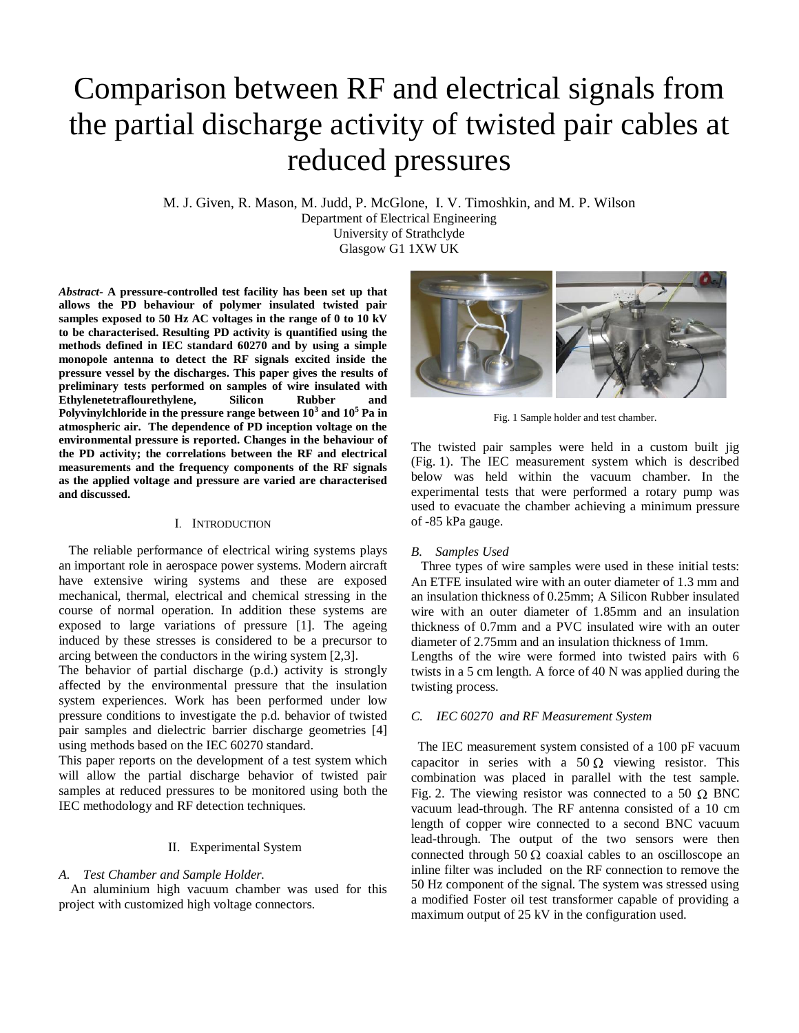# Comparison between RF and electrical signals from the partial discharge activity of twisted pair cables at reduced pressures

M. J. Given, R. Mason, M. Judd, P. McGlone, I. V. Timoshkin, and M. P. Wilson Department of Electrical Engineering University of Strathclyde

Glasgow G1 1XW UK

*Abstract-* **A pressure-controlled test facility has been set up that allows the PD behaviour of polymer insulated twisted pair samples exposed to 50 Hz AC voltages in the range of 0 to 10 kV to be characterised. Resulting PD activity is quantified using the methods defined in IEC standard 60270 and by using a simple monopole antenna to detect the RF signals excited inside the pressure vessel by the discharges. This paper gives the results of preliminary tests performed on samples of wire insulated with Ethylenetetraflourethylene, Silicon Rubber and Polyvinylchloride in the pressure range between 10<sup>3</sup> and 10<sup>5</sup> Pa in atmospheric air. The dependence of PD inception voltage on the environmental pressure is reported. Changes in the behaviour of the PD activity; the correlations between the RF and electrical measurements and the frequency components of the RF signals as the applied voltage and pressure are varied are characterised and discussed.**

## I. INTRODUCTION

 The reliable performance of electrical wiring systems plays an important role in aerospace power systems. Modern aircraft have extensive wiring systems and these are exposed mechanical, thermal, electrical and chemical stressing in the course of normal operation. In addition these systems are exposed to large variations of pressure [\[1\].](#page-3-0) The ageing induced by these stresses is considered to be a precursor to arcing between the conductors in the wiring system [2,3].

The behavior of partial discharge (p.d.) activity is strongly affected by the environmental pressure that the insulation system experiences. Work has been performed under low pressure conditions to investigate the p.d. behavior of twisted pair samples and dielectric barrier discharge geometries [4] using methods based on the IEC 60270 standard.

This paper reports on the development of a test system which will allow the partial discharge behavior of twisted pair samples at reduced pressures to be monitored using both the IEC methodology and RF detection techniques.

## II. Experimental System

## *A. Test Chamber and Sample Holder.*

 An aluminium high vacuum chamber was used for this project with customized high voltage connectors.



Fig. 1 Sample holder and test chamber.

The twisted pair samples were held in a custom built jig (Fig. 1). The IEC measurement system which is described below was held within the vacuum chamber. In the experimental tests that were performed a rotary pump was used to evacuate the chamber achieving a minimum pressure of -85 kPa gauge.

## *B. Samples Used*

 Three types of wire samples were used in these initial tests: An ETFE insulated wire with an outer diameter of 1.3 mm and an insulation thickness of 0.25mm; A Silicon Rubber insulated wire with an outer diameter of 1.85mm and an insulation thickness of 0.7mm and a PVC insulated wire with an outer diameter of 2.75mm and an insulation thickness of 1mm.

Lengths of the wire were formed into twisted pairs with 6 twists in a 5 cm length. A force of 40 N was applied during the twisting process.

# *C. IEC 60270 and RF Measurement System*

 The IEC measurement system consisted of a 100 pF vacuum capacitor in series with a  $50 \Omega$  viewing resistor. This combination was placed in parallel with the test sample. Fig. 2. The viewing resistor was connected to a 50  $\Omega$  BNC vacuum lead-through. The RF antenna consisted of a 10 cm length of copper wire connected to a second BNC vacuum lead-through. The output of the two sensors were then connected through 50  $\Omega$  coaxial cables to an oscilloscope an inline filter was included on the RF connection to remove the 50 Hz component of the signal. The system was stressed using a modified Foster oil test transformer capable of providing a maximum output of 25 kV in the configuration used.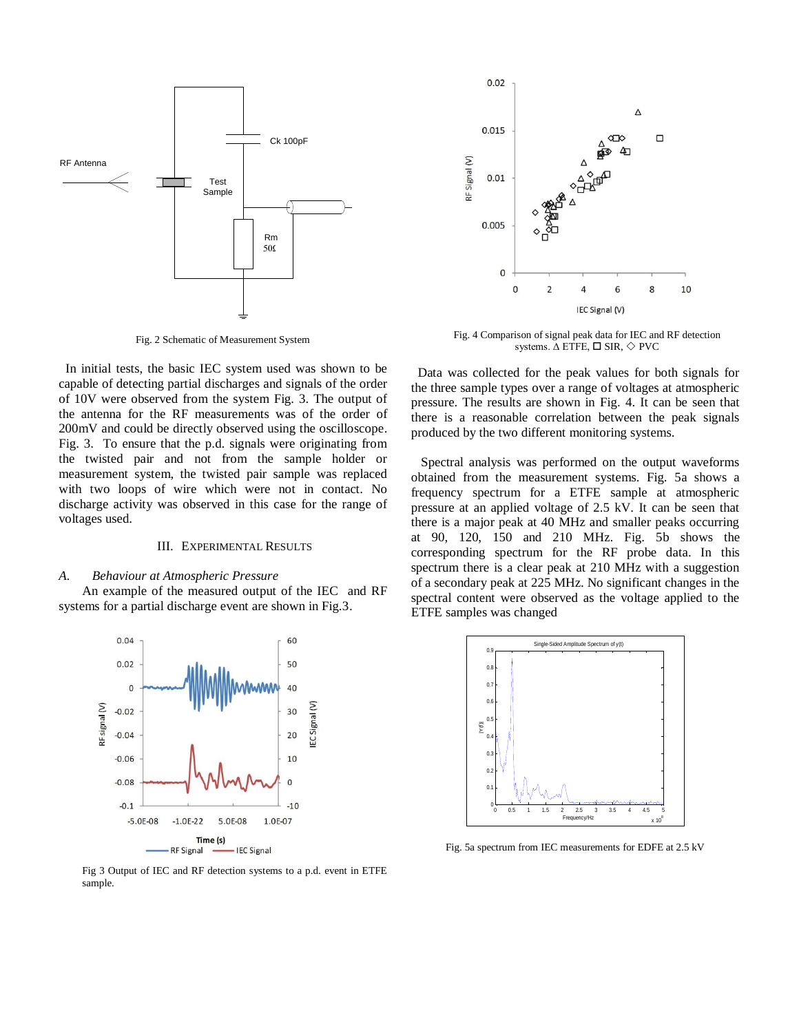

Fig. 2 Schematic of Measurement System

 In initial tests, the basic IEC system used was shown to be capable of detecting partial discharges and signals of the order of 10V were observed from the system Fig. 3. The output of the antenna for the RF measurements was of the order of 200mV and could be directly observed using the oscilloscope. Fig. 3. To ensure that the p.d. signals were originating from the twisted pair and not from the sample holder or measurement system, the twisted pair sample was replaced with two loops of wire which were not in contact. No discharge activity was observed in this case for the range of voltages used.

#### III. EXPERIMENTAL RESULTS

#### *A. Behaviour at Atmospheric Pressure*

An example of the measured output of the IEC and RF systems for a partial discharge event are shown in Fig.3.



Fig 3 Output of IEC and RF detection systems to a p.d. event in ETFE sample.



Fig. 4 Comparison of signal peak data for IEC and RF detection systems.  $\Delta$  ETFE,  $\Box$  SIR,  $\diamondsuit$  PVC

 Data was collected for the peak values for both signals for the three sample types over a range of voltages at atmospheric pressure. The results are shown in Fig. 4. It can be seen that there is a reasonable correlation between the peak signals produced by the two different monitoring systems.

 Spectral analysis was performed on the output waveforms obtained from the measurement systems. Fig. 5a shows a frequency spectrum for a ETFE sample at atmospheric pressure at an applied voltage of 2.5 kV. It can be seen that there is a major peak at 40 MHz and smaller peaks occurring at 90, 120, 150 and 210 MHz. Fig. 5b shows the corresponding spectrum for the RF probe data. In this spectrum there is a clear peak at 210 MHz with a suggestion of a secondary peak at 225 MHz. No significant changes in the spectral content were observed as the voltage applied to the ETFE samples was changed



Fig. 5a spectrum from IEC measurements for EDFE at 2.5 kV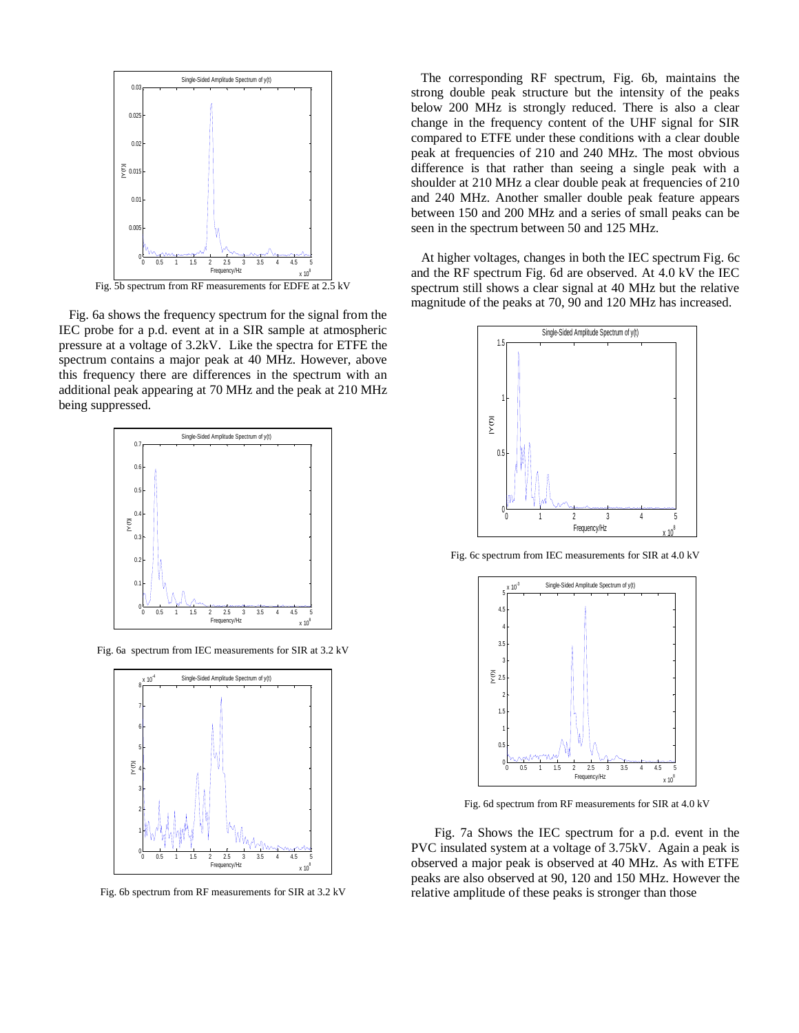

 Fig. 6a shows the frequency spectrum for the signal from the IEC probe for a p.d. event at in a SIR sample at atmospheric pressure at a voltage of 3.2kV. Like the spectra for ETFE the spectrum contains a major peak at 40 MHz. However, above this frequency there are differences in the spectrum with an additional peak appearing at 70 MHz and the peak at 210 MHz being suppressed.



Fig. 6a spectrum from IEC measurements for SIR at 3.2 kV



Fig. 6b spectrum from RF measurements for SIR at 3.2 kV

 The corresponding RF spectrum, Fig. 6b, maintains the strong double peak structure but the intensity of the peaks below 200 MHz is strongly reduced. There is also a clear change in the frequency content of the UHF signal for SIR compared to ETFE under these conditions with a clear double peak at frequencies of 210 and 240 MHz. The most obvious difference is that rather than seeing a single peak with a shoulder at 210 MHz a clear double peak at frequencies of 210 and 240 MHz. Another smaller double peak feature appears between 150 and 200 MHz and a series of small peaks can be seen in the spectrum between 50 and 125 MHz.

 At higher voltages, changes in both the IEC spectrum Fig. 6c and the RF spectrum Fig. 6d are observed. At 4.0 kV the IEC spectrum still shows a clear signal at 40 MHz but the relative magnitude of the peaks at 70, 90 and 120 MHz has increased.



Fig. 6c spectrum from IEC measurements for SIR at 4.0 kV



Fig. 6d spectrum from RF measurements for SIR at 4.0 kV

Fig. 7a Shows the IEC spectrum for a p.d. event in the PVC insulated system at a voltage of 3.75kV. Again a peak is observed a major peak is observed at 40 MHz. As with ETFE peaks are also observed at 90, 120 and 150 MHz. However the relative amplitude of these peaks is stronger than those